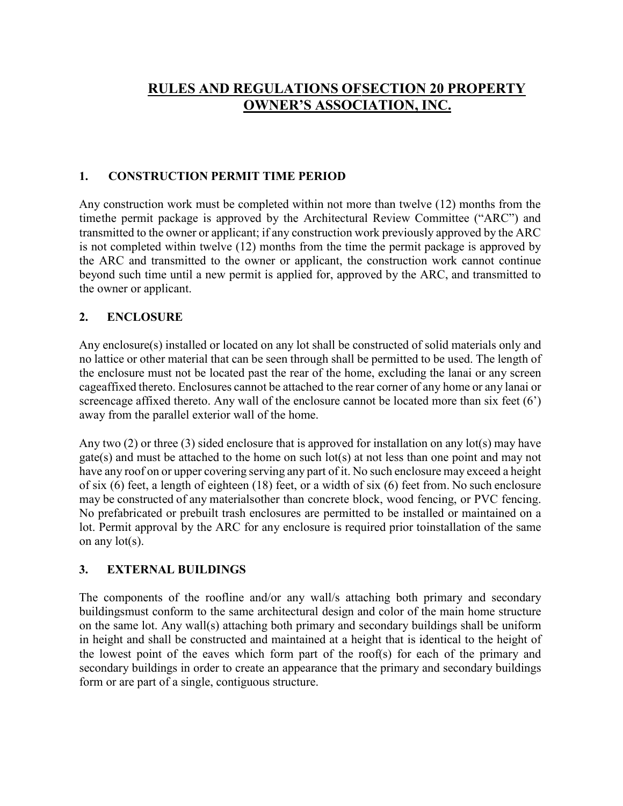# **RULES AND REGULATIONS OFSECTION 20 PROPERTY OWNER'S ASSOCIATION, INC.**

#### **1. CONSTRUCTION PERMIT TIME PERIOD**

Any construction work must be completed within not more than twelve (12) months from the timethe permit package is approved by the Architectural Review Committee ("ARC") and transmitted to the owner or applicant; if any construction work previously approved by the ARC is not completed within twelve (12) months from the time the permit package is approved by the ARC and transmitted to the owner or applicant, the construction work cannot continue beyond such time until a new permit is applied for, approved by the ARC, and transmitted to the owner or applicant.

#### **2. ENCLOSURE**

Any enclosure(s) installed or located on any lot shall be constructed of solid materials only and no lattice or other material that can be seen through shall be permitted to be used. The length of the enclosure must not be located past the rear of the home, excluding the lanai or any screen cageaffixed thereto. Enclosures cannot be attached to the rear corner of any home or any lanai or screencage affixed thereto. Any wall of the enclosure cannot be located more than six feet (6') away from the parallel exterior wall of the home.

Any two  $(2)$  or three  $(3)$  sided enclosure that is approved for installation on any lot(s) may have gate(s) and must be attached to the home on such lot(s) at not less than one point and may not have any roof on or upper covering serving any part of it. No such enclosure may exceed a height of six (6) feet, a length of eighteen (18) feet, or a width of six (6) feet from. No such enclosure may be constructed of any materialsother than concrete block, wood fencing, or PVC fencing. No prefabricated or prebuilt trash enclosures are permitted to be installed or maintained on a lot. Permit approval by the ARC for any enclosure is required prior toinstallation of the same on any lot(s).

#### **3. EXTERNAL BUILDINGS**

The components of the roofline and/or any wall/s attaching both primary and secondary buildingsmust conform to the same architectural design and color of the main home structure on the same lot. Any wall(s) attaching both primary and secondary buildings shall be uniform in height and shall be constructed and maintained at a height that is identical to the height of the lowest point of the eaves which form part of the roof(s) for each of the primary and secondary buildings in order to create an appearance that the primary and secondary buildings form or are part of a single, contiguous structure.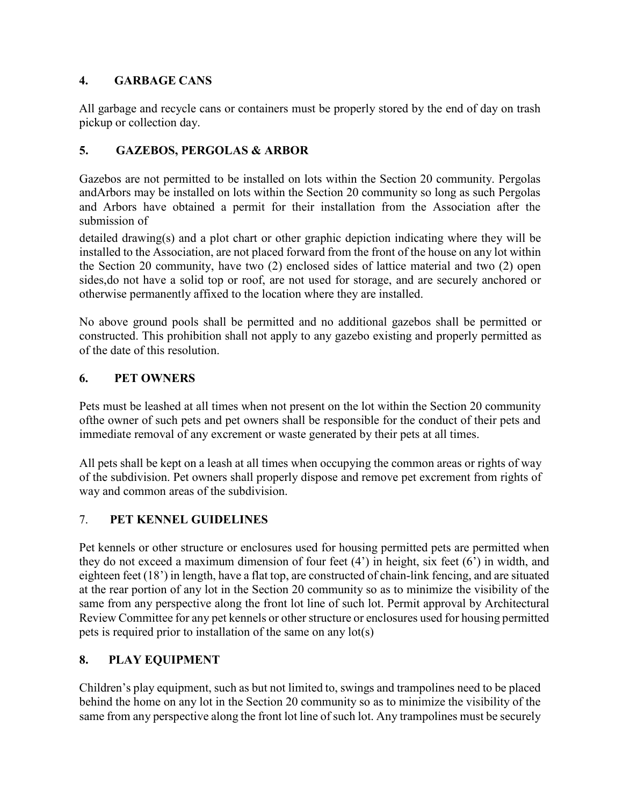#### **4. GARBAGE CANS**

All garbage and recycle cans or containers must be properly stored by the end of day on trash pickup or collection day.

## **5. GAZEBOS, PERGOLAS & ARBOR**

Gazebos are not permitted to be installed on lots within the Section 20 community. Pergolas andArbors may be installed on lots within the Section 20 community so long as such Pergolas and Arbors have obtained a permit for their installation from the Association after the submission of

detailed drawing(s) and a plot chart or other graphic depiction indicating where they will be installed to the Association, are not placed forward from the front of the house on any lot within the Section 20 community, have two (2) enclosed sides of lattice material and two (2) open sides,do not have a solid top or roof, are not used for storage, and are securely anchored or otherwise permanently affixed to the location where they are installed.

No above ground pools shall be permitted and no additional gazebos shall be permitted or constructed. This prohibition shall not apply to any gazebo existing and properly permitted as of the date of this resolution.

## **6. PET OWNERS**

Pets must be leashed at all times when not present on the lot within the Section 20 community ofthe owner of such pets and pet owners shall be responsible for the conduct of their pets and immediate removal of any excrement or waste generated by their pets at all times.

All pets shall be kept on a leash at all times when occupying the common areas or rights of way of the subdivision. Pet owners shall properly dispose and remove pet excrement from rights of way and common areas of the subdivision.

## 7. **PET KENNEL GUIDELINES**

Pet kennels or other structure or enclosures used for housing permitted pets are permitted when they do not exceed a maximum dimension of four feet (4') in height, six feet (6') in width, and eighteen feet (18') in length, have a flat top, are constructed of chain-link fencing, and are situated at the rear portion of any lot in the Section 20 community so as to minimize the visibility of the same from any perspective along the front lot line of such lot. Permit approval by Architectural Review Committee for any pet kennels or other structure or enclosures used for housing permitted pets is required prior to installation of the same on any lot(s)

## **8. PLAY EQUIPMENT**

Children's play equipment, such as but not limited to, swings and trampolines need to be placed behind the home on any lot in the Section 20 community so as to minimize the visibility of the same from any perspective along the front lot line of such lot. Any trampolines must be securely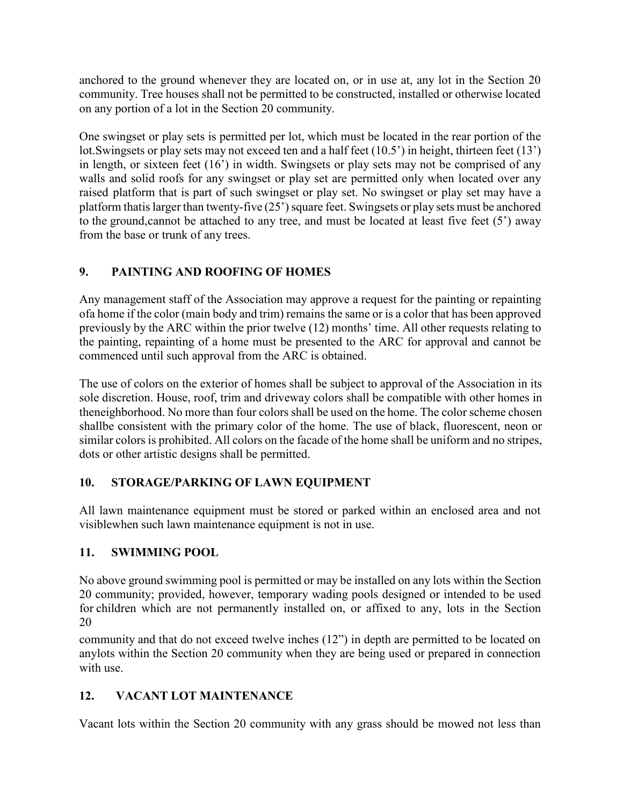anchored to the ground whenever they are located on, or in use at, any lot in the Section 20 community. Tree houses shall not be permitted to be constructed, installed or otherwise located on any portion of a lot in the Section 20 community.

One swingset or play sets is permitted per lot, which must be located in the rear portion of the lot.Swingsets or play sets may not exceed ten and a half feet (10.5') in height, thirteen feet (13') in length, or sixteen feet (16') in width. Swingsets or play sets may not be comprised of any walls and solid roofs for any swingset or play set are permitted only when located over any raised platform that is part of such swingset or play set. No swingset or play set may have a platform thatis larger than twenty-five  $(25')$  square feet. Swingsets or play sets must be anchored to the ground,cannot be attached to any tree, and must be located at least five feet (5') away from the base or trunk of any trees.

## **9. PAINTING AND ROOFING OF HOMES**

Any management staff of the Association may approve a request for the painting or repainting ofa home if the color (main body and trim) remains the same or is a color that has been approved previously by the ARC within the prior twelve (12) months' time. All other requests relating to the painting, repainting of a home must be presented to the ARC for approval and cannot be commenced until such approval from the ARC is obtained.

The use of colors on the exterior of homes shall be subject to approval of the Association in its sole discretion. House, roof, trim and driveway colors shall be compatible with other homes in theneighborhood. No more than four colors shall be used on the home. The color scheme chosen shallbe consistent with the primary color of the home. The use of black, fluorescent, neon or similar colors is prohibited. All colors on the facade of the home shall be uniform and no stripes, dots or other artistic designs shall be permitted.

## **10. STORAGE/PARKING OF LAWN EQUIPMENT**

All lawn maintenance equipment must be stored or parked within an enclosed area and not visiblewhen such lawn maintenance equipment is not in use.

## **11. SWIMMING POOL**

No above ground swimming pool is permitted or may be installed on any lots within the Section 20 community; provided, however, temporary wading pools designed or intended to be used for children which are not permanently installed on, or affixed to any, lots in the Section 20

community and that do not exceed twelve inches (12") in depth are permitted to be located on anylots within the Section 20 community when they are being used or prepared in connection with use.

## **12. VACANT LOT MAINTENANCE**

Vacant lots within the Section 20 community with any grass should be mowed not less than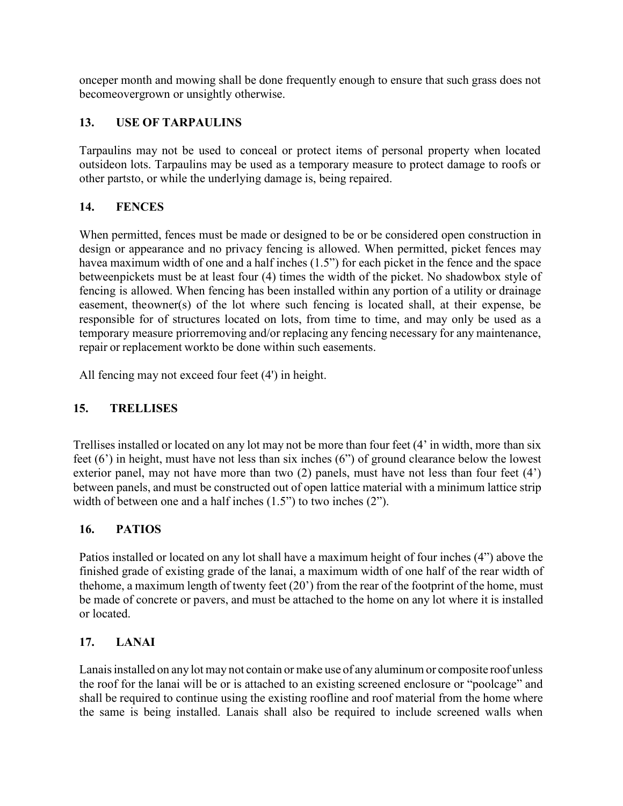onceper month and mowing shall be done frequently enough to ensure that such grass does not becomeovergrown or unsightly otherwise.

#### **13. USE OF TARPAULINS**

Tarpaulins may not be used to conceal or protect items of personal property when located outsideon lots. Tarpaulins may be used as a temporary measure to protect damage to roofs or other partsto, or while the underlying damage is, being repaired.

#### **14. FENCES**

When permitted, fences must be made or designed to be or be considered open construction in design or appearance and no privacy fencing is allowed. When permitted, picket fences may havea maximum width of one and a half inches (1.5") for each picket in the fence and the space betweenpickets must be at least four (4) times the width of the picket. No shadowbox style of fencing is allowed. When fencing has been installed within any portion of a utility or drainage easement, theowner(s) of the lot where such fencing is located shall, at their expense, be responsible for of structures located on lots, from time to time, and may only be used as a temporary measure priorremoving and/or replacing any fencing necessary for any maintenance, repair or replacement workto be done within such easements.

All fencing may not exceed four feet (4') in height.

## **15. TRELLISES**

Trellises installed or located on any lot may not be more than four feet (4' in width, more than six feet (6') in height, must have not less than six inches (6") of ground clearance below the lowest exterior panel, may not have more than two (2) panels, must have not less than four feet (4') between panels, and must be constructed out of open lattice material with a minimum lattice strip width of between one and a half inches  $(1.5)$  to two inches  $(2)$ .

#### **16. PATIOS**

Patios installed or located on any lot shall have a maximum height of four inches (4") above the finished grade of existing grade of the lanai, a maximum width of one half of the rear width of thehome, a maximum length of twenty feet (20') from the rear of the footprint of the home, must be made of concrete or pavers, and must be attached to the home on any lot where it is installed or located.

#### **17. LANAI**

Lanais installed on any lot may not contain or make use of any aluminum or composite roof unless the roof for the lanai will be or is attached to an existing screened enclosure or "poolcage" and shall be required to continue using the existing roofline and roof material from the home where the same is being installed. Lanais shall also be required to include screened walls when